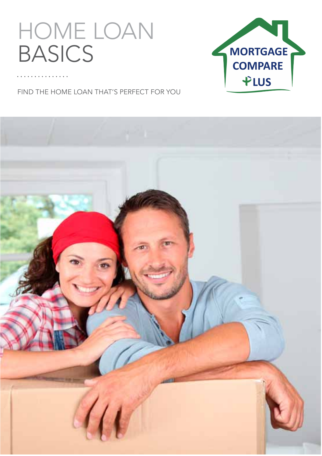# home loan **BASICS**



Find the home loan that's perfect for you

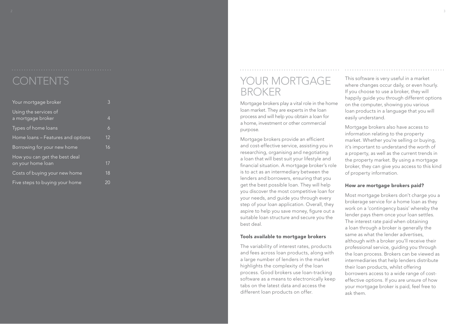### **CONTENTS**

| Your mortgage broker                               | 3               |  |
|----------------------------------------------------|-----------------|--|
| Using the services of<br>a mortgage broker         | 4               |  |
| Types of home loans                                | $\ddot{\delta}$ |  |
| Home loans – Features and options                  | 12              |  |
| Borrowing for your new home                        | 16              |  |
| How you can get the best deal<br>on your home loan | 17              |  |
| Costs of buying your new home                      | 18              |  |
| Five steps to buying your home                     | 20              |  |

### YOUR MORTGAGE **BROKER**

Mortgage brokers play a vital role in the home loan market. They are experts in the loan process and will help you obtain a loan for a home, investment or other commercial

purpose. Mortgage brokers provide an efficient and cost-effective service, assisting you in researching, organising and negotiating a loan that will best suit your lifestyle and financial situation. A mortgage broker's role is to act as an intermediary between the lenders and borrowers, ensuring that you get the best possible loan. They will help you discover the most competitive loan for your needs, and guide you through every step of your loan application. Overall, they aspire to help you save money, figure out a suitable loan structure and secure you the best deal.

### Tools available to mortgage brokers

The variability of interest rates, products and fees across loan products, along with a large number of lenders in the market highlights the complexity of the loan process. Good brokers use loan-tracking software as a means to electronically keep tabs on the latest data and access the different loan products on offer.

This software is very useful in a market where changes occur daily, or even hourly.<br>If you choose to use a broker, they will happily guide you through different options on the computer, showing you various loan products in a language that you will easily understand.

Mortgage brokers also have access to information relating to the property market. Whether you're selling or buying, it's important to understand the worth of a property, as well as the current trends in the property market. By using a mortgage broker, they can give you access to this kind of property information.

### How are mortgage brokers paid?

Most mortgage brokers don't charge you a brokerage service for a home loan as they work on a 'contingency basis' whereby the lender pays them once your loan settles. The interest rate paid when obtaining a loan through a broker is generally the same as what the lender advertises, although with a broker you'll receive their professional service, guiding you through the loan process. Brokers can be viewed as intermediaries that help lenders distribute their loan products, whilst offering borrowers access to a wide range of costeffective options. If you are unsure of how your mortgage broker is paid, feel free to ask them.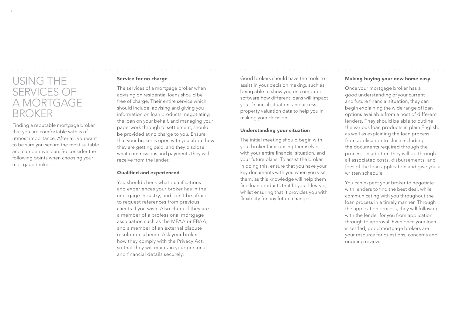# USING THE services of a mortgage **BROKER**

Finding a reputable mortgage broker that you are comfortable with is of utmost importance. After all, you want to be sure you secure the most suitable and competitive loan. So consider the following points when choosing your mortgage broker.

### Service for no charge

The services of a mortgage broker when advising on residential loans should be free of charge. Their entire service which should include: advising and giving you information on loan products, negotiating the loan on your behalf, and managing your paperwork through to settlement, should be provided at no charge to you. Ensure that your broker is open with you about how they are getting paid, and they disclose what commissions and payments they will receive from the lender.

### Qualified and experienced

You should check what qualifications and experiences your broker has in the mortgage industry, and don't be afraid to request references from previous clients if you wish. Also check if they are a member of a professional mortgage association such as the MFAA or FBAA, and a member of an external dispute resolution scheme. Ask your broker how they comply with the Privacy Act, so that they will maintain your personal and financial details securely.

Good brokers should have the tools to assist in your decision making, such as being able to show you on computer software how different loans will impact your financial situation, and access property valuation data to help you in making your decision.

### Understanding your situation

The initial meeting should begin with your broker familiarising themselves with your entire financial situation, and your future plans. To assist the broker in doing this, ensure that you have your key documents with you when you visit them, as this knowledge will help them find loan products that fit your lifestyle, whilst ensuring that it provides you with flexibility for any future changes.

### Making buying your new home easy

Once your mortgage broker has a good understanding of your current and future financial situation, they can begin explaining the wide range of loan options available from a host of different lenders. They should be able to outline the various loan products in plain English, as well as explaining the loan process from application to close including the documents required through the process. In addition they will go through all associated costs, disbursements, and fees of the loan application and give you a written schedule.

You can expect your broker to negotiate with lenders to find the best deal, while communicating with you throughout the loan process in a timely manner. Through the application process, they will follow up with the lender for you from application through to approval. Even once your loan is settled, good mortgage brokers are your resource for questions, concerns and ongoing review.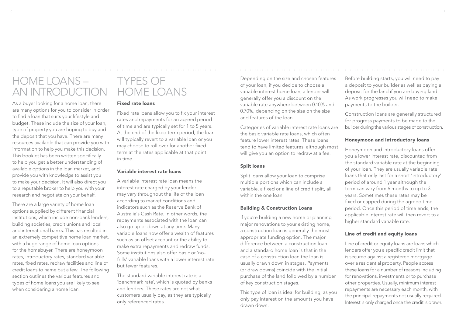# Home Loans – An Introduction

As a buyer looking for a home loan, there are many options for you to consider in order to find a loan that suits your lifestyle and budget. These include the size of your loan, type of property you are hoping to buy and the deposit that you have. There are many resources available that can provide you with information to help you make this decision. This booklet has been written specifically to help you get a better understanding of available options in the loan market, and provide you with knowledge to assist you to make your decision. It will also direct you to a reputable broker to help you with your research and negotiate on your behalf.

There are a large variety of home loan options supplied by different financial institutions, which include non-bank lenders, building societies, credit unions and local and international banks. This has resulted in an extremely competitive home loan market, with a huge range of home loan options for the homebuyer. There are honeymoon rates, introductory rates, standard variable rates, fixed rates, redraw facilities and line of credit loans to name but a few. The following section outlines the various features and types of home loans you are likely to see when considering a home loan.

## Types of Home Loans

### Fixed rate loans

Fixed rate loans allow you to fix your interest rates and repayments for an agreed period of time and are typically set for 1 to 5 years. At the end of the fixed term period, the loan will typically revert to a variable loan or you may choose to roll over for another fixed term at the rates applicable at that point in time.

### Variable interest rate loans

A variable interest rate loan means the interest rate charged by your lender may vary throughout the life of the loan according to market conditions and indicators such as the Reserve Bank of Australia's Cash Rate. In other words, the repayments associated with the loan can also go up or down at any time. Many variable loans now offer a wealth of features such as an offset account or the ability to make extra repayments and redraw funds. Some institutions also offer basic or 'nofrills' variable loans with a lower interest rate but fewer features.

The standard variable interest rate is a 'benchmark rate', which is quoted by banks and lenders. These rates are not what customers usually pay, as they are typically only referenced rates.

Depending on the size and chosen features of your loan, if you decide to choose a variable interest home loan, a lender will generally offer you a discount on the variable rate anywhere between 0.10% and 0.70%, depending on the size on the size and features of the loan.

Categories of variable interest rate loans are the basic variable rate loans, which often feature lower interest rates. These loans tend to have limited features, although most will give you an option to redraw at a fee.

### Split loans

Split loans allow your loan to comprise multiple portions which can include a variable, a fixed or a line of credit split, all within the one loan.

### Building & Construction Loans

If you're building a new home or planning major renovations to your existing home, a construction loan is generally the most appropriate funding option. The major difference between a construction loan and a standard home loan is that in the case of a construction loan the loan is usually drawn down in stages. Payments (or draw downs) coincide with the initial purchase of the land follo wed by a number of key construction stages.

This type of loan is ideal for building, as you only pay interest on the amounts you have drawn down.

Before building starts, you will need to pay a deposit to your builder as well as paying a deposit for the land if you are buying land. As work progresses you will need to make payments to the builder.

Construction loans are generally structured for progress payments to be made to the builder during the various stages of construction.

### Honeymoon and introductory loans

Honeymoon and introductory loans offer you a lower interest rate, discounted from the standard variable rate at the beginning of your loan. They are usually variable rate loans that only last for a short 'introductory' period of around 1 year although the term can vary from 6 months to up to 3 years. Sometimes these rates may be fixed or capped during the agreed time period. Once this period of time ends, the applicable interest rate will then revert to a higher standard variable rate.

### Line of credit and equity loans

Line of credit or equity loans are loans which lenders offer you a specific credit limit that is secured against a registered mortgage over a residential property. People access these loans for a number of reasons including for renovations, investments or to purchase other properties. Usually, minimum interest repayments are necessary each month, with the principal repayments not usually required. Interest is only charged once the credit is drawn.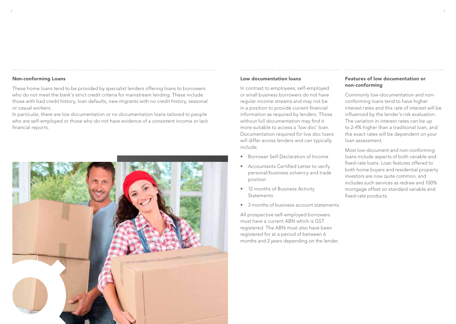These home loans tend to be provided by specialist lenders offering loans to borrowers who do not meet the bank's strict credit criteria for mainstream lending. These include those with bad credit history, loan defaults, new migrants with no credit history, seasonal or casual workers.

In particular, there are low documentation or no documentation loans tailored to people who are self-employed or those who do not have evidence of a consistent income or lack financial reports.



#### Low documentation loans

In contrast to employees, self-employed or small business borrowers do not have regular income streams and may not be in a position to provide current financial information as required by lenders. Those without full documentation may find it more suitable to access a 'low doc' loan. Documentation required for low doc loans will differ across lenders and can typically include:

- Borrower Self-Declaration of Income
- Accountants Certified Letter to verify personal/business solvency and trade position
- 12 months of Business Activity **Statements**
- 3 months of business account statements

All prospective self-employed borrowers must have a current ABN which is GST registered. The ABN must also have been registered for at a period of between 6 months and 2 years depending on the lender.

### Features of low documentation or non-conforming

Commonly low-documentation and nonconforming loans tend to have higher interest rates and this rate of interest will be influenced by the lender's risk evaluation. The variation in interest rates can be up to 2-4% higher than a traditional loan, and the exact rates will be dependent on your loan assessment.

Most low-document and non-conforming loans include aspects of both variable and fixed-rate loans. Loan features offered to both home buyers and residential property investors are now quite common, and includes such services as redraw and 100% mortgage offset on standard variable and fixed-rate products.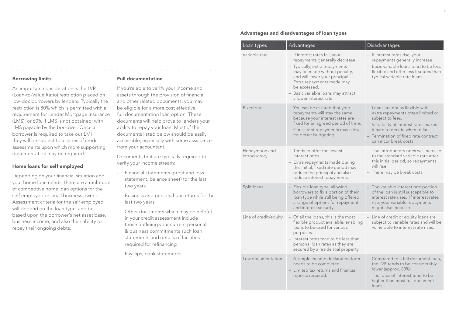An important consideration is the LVR (Loan-to-Value Ratio) restriction placed on low-doc borrowers by lenders. Typically the restriction is 80% which is permitted with a requirement for Lender Mortgage Insurance (LMS), or 60% if LMS is not obtained; with LMS payable by the borrower. Once a borrower is required to take out LMI they will be subject to a series of credit assessments upon which more supporting documentation may be required.

### Home loans for self employed

Depending on your financial situation and your home loan needs, there are a multitude of competitive home loan options for the self employed or small business owner. Assessment criteria for the self employed will depend on the loan type, and be based upon the borrower's net asset base, business income, and also their ability to repay their ongoing debts.

### Full documentation

If you're able to verify your income and assets through the provision of financial and other related documents, you may be eligible for a more cost effective full documentation loan option. These documents will help prove to lenders your ability to repay your loan. Most of the documents listed below should be easily accessible, especially with some assistance from your accountant.

Documents that are typically required to verify your income stream:

- Financial statements (profit and loss statement, balance sheet) for the last two years
- Business and personal tax returns for the last two years
- Other documents which may be helpful in your credit assessment include those outlining your current personal & business commitments such loan statements and details of facilities required for refinancing
- Payslips, bank statements

### Advantages and disadvantages of loan types

| Loan types                    | Advantages                                                                                                                                                                                                                                                                       | Disadvantages                                                                                                                                                                                                                          |
|-------------------------------|----------------------------------------------------------------------------------------------------------------------------------------------------------------------------------------------------------------------------------------------------------------------------------|----------------------------------------------------------------------------------------------------------------------------------------------------------------------------------------------------------------------------------------|
| Variable rate                 | - If interest rates fall, your<br>repayments generally decrease.<br>- Typically, extra repayments<br>may be made without penalty,<br>and will lower your principal.<br>Extra repayments made may<br>be accessed.<br>- Basic variable loans may attract<br>a lower interest rate. | - If interest rates rise, your<br>repayments generally increase.<br>- Basic variable loans tend to be less<br>flexible and offer less features than<br>typical variable rate loans.                                                    |
| Fixed rate                    | - You can be assured that your<br>repayments will stay the same<br>because your interest rates are<br>fixed for an agreed period of time.<br>- Consistent repayments may allow<br>for better budgeting.                                                                          | - Loans are not as flexible with<br>extra repayments often limited or<br>subject to fees.<br>- Variability of interest rates makes<br>it hard to decide when to fix.<br>- Termination of fixed rate contract<br>can incur break costs. |
| Honeymoon and<br>introductory | - Tends to offer the lowest<br>interest rates.<br>- Extra repayments made during<br>this initial, fixed rate period may<br>reduce the principal and also<br>reduce interest repayments.                                                                                          | - The introductory rates will increase<br>to the standard variable rate after<br>this initial period, so repayments<br>will rise.<br>- There may be break costs.                                                                       |
| Split loans                   | - Flexible loan type, allowing<br>borrowers to fix a portion of their<br>loan type while still being offered<br>a range of options for repayment<br>and interest security.                                                                                                       | - The variable interest rate portion<br>of the loan is still susceptible to<br>interest rate rises. If interest rates<br>rise, your variable repayments<br>might also increase.                                                        |
| Line of credit/equity         | - Of all the loans, this is the most<br>flexible product available, enabling<br>loans to be used for various<br>purposes.<br>- Interest rates tend to be less than<br>personal loan rates as they are<br>secured by a residential property.                                      | - Line of credit or equity loans are<br>subject to variable rates and will be<br>vulnerable to interest rate rises.                                                                                                                    |
| Low documentation             | - A simple income declaration form<br>needs to be completed.<br>- Limited tax returns and financial<br>reports required.                                                                                                                                                         | - Compared to a full document loan,<br>the LVR tends to be considerably<br>lower (approx. 80%).<br>- The rates of interest tend to be<br>higher than most full document<br>loans.                                                      |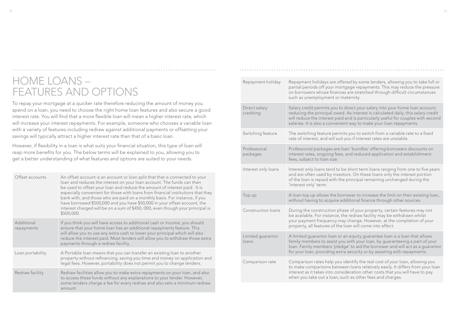## Home Loans – Features and options

To repay your mortgage at a quicker rate therefore reducing the amount of money you spend on a loan, you need to choose the right home loan features and also secure a good interest rate. You will find that a more flexible loan will mean a higher interest rate, which will increase your interest repayments. For example, someone who chooses a variable loan with a variety of features including redraw against additional payments or offsetting your savings will typically attract a higher interest rate than that of a basic loan.

However, if flexibility in a loan is what suits your financial situation, this type of loan will reap more benefits for you. The below terms will be explained to you, allowing you to get a better understanding of what features and options are suited to your needs.

| Offset accounts          | An offset account is an account or loan split that that is connected to your<br>loan and reduces the interest on your loan account. The funds can then<br>be used to offset your loan and reduce the amount of interest paid. It is<br>especially convenient for those with loans from financial institutions that they<br>bank with, and those who are paid on a monthly basis. For instance, if you<br>have borrowed \$500,000 and you have \$50,000 in your offset account, the<br>interest charged will be on a sum of \$450,000, even though your principal is<br>\$500,000. |
|--------------------------|-----------------------------------------------------------------------------------------------------------------------------------------------------------------------------------------------------------------------------------------------------------------------------------------------------------------------------------------------------------------------------------------------------------------------------------------------------------------------------------------------------------------------------------------------------------------------------------|
| Additional<br>repayments | If you think you will have access to additional cash or income, you should<br>ensure that your home loan has an additional repayments feature. This<br>will allow you to use any extra cash to lower your principal which will also<br>reduce the interest paid. Most lenders will allow you to withdraw those extra<br>payments through a redraw facility.                                                                                                                                                                                                                       |
| Loan portability         | A Portable loan means that you can transfer an existing loan to another<br>property without refinancing, saving you time and money on application and<br>legal fees. However, portability does not permit you to change lenders.                                                                                                                                                                                                                                                                                                                                                  |
| Redraw facility          | Redraw facilities allow you to make extra repayments on your loan, and also<br>to access these funds without any explanations to your lender. However,<br>some lenders charge a fee for every redraw and also sets a minimum redraw<br>amount.                                                                                                                                                                                                                                                                                                                                    |

| Repayment holiday          | Repayment holidays are offered by some lenders, allowing you to take full or<br>partial periods off your mortgage repayments. This may reduce the pressure<br>on borrowers whose finances are stretched through difficult circumstances<br>such as unemployment or maternity.                                               |
|----------------------------|-----------------------------------------------------------------------------------------------------------------------------------------------------------------------------------------------------------------------------------------------------------------------------------------------------------------------------|
| Direct salary<br>crediting | Salary credit permits you to direct your salary into your home loan account,<br>reducing the principal owed. As interest is calculated daily, this salary credit<br>will reduce the interest paid and is particularly useful for couples with second<br>salaries. It is also a convenient way to make your loan repayments. |
| Switching feature          | The switching feature permits you to switch from a variable rate to a fixed<br>rate of interest, and will suit you if interest rates are unstable.                                                                                                                                                                          |
| Professional<br>packages   | Professional packages are loan 'bundles' offering borrowers discounts on<br>interest rates, ongoing fees, and reduced application and establishment<br>fees, subject to loan size.                                                                                                                                          |
| Interest only loans        | Interest only loans tend to be short term loans ranging from one to five years<br>and are often used by investors. On these loans only the interest portion<br>of the loan is repaid with the principal remaining unchanged during the<br>'interest only' term.                                                             |
| Top up                     | A loan top up allows the borrower to increase the limit on their existing loan,<br>without having to acquire additional finance through other sources.                                                                                                                                                                      |
| Construction loans         | During the construction phase of your property, certain features may not<br>be available. For instance, the redraw facility may be withdrawn whilst<br>your payment frequency may change. However, at the completion of your<br>property, all features of the loan will come into effect.                                   |
| Limited quarantor<br>loans | A limited guarantor loan or an equity guarantee loan is a loan that allows<br>family members to assist you with your loan, by guaranteeing a part of your<br>loan. Family members 'pledge' to aid the borrower and will act as a guarantor<br>for your loan, providing extra security or by assisting with repayments.      |
| Comparison rate            | Comparison rates help you identify the real cost of your loan, allowing you<br>to make comparisons between loans relatively easily. It differs from your loan<br>interest as it takes into consideration other costs that you will have to pay<br>when you take out a loan, such as other fees and charges.                 |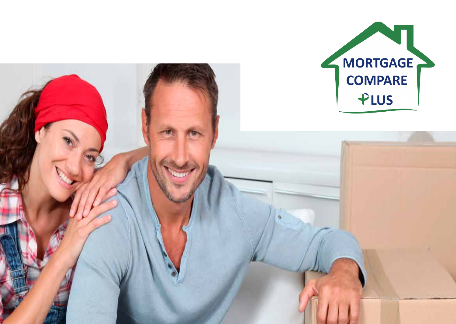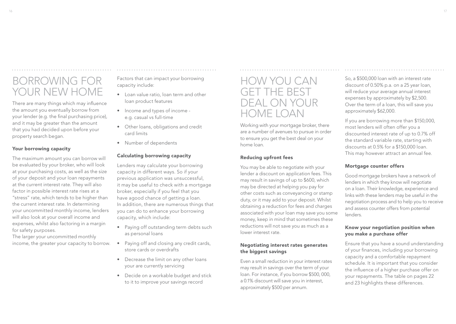# Borrowing for your new home

There are many things which may influence the amount you eventually borrow from your lender (e.g. the final purchasing price), and it may be greater than the amount that you had decided upon before your property search began.

### Your borrowing capacity

The maximum amount you can borrow will be evaluated by your broker, who will look at your purchasing costs, as well as the size of your deposit and your loan repayments at the current interest rate. They will also factor in possible interest rate rises at a "stress" rate, which tends to be higher than the current interest rate. In determining your uncommitted monthly income, lenders will also look at your overall income and expenses, whilst also factoring in a margin for safety purposes.

The larger your uncommitted monthly income, the greater your capacity to borrow. Factors that can impact your borrowing capacity include:

- Loan value ratio, loan term and other loan product features
- Income and types of income e.g. casual vs full-time
- Other loans, obligations and credit card limits
- Number of dependents

### Calculating borrowing capacity

Lenders may calculate your borrowing capacity in different ways. So if your previous application was unsuccessful, it may be useful to check with a mortgage broker, especially if you feel that you have agood chance of getting a loan. In addition, there are numerous things that you can do to enhance your borrowing capacity, which include:

- Paying off outstanding term debts such as personal loans
- Paying off and closing any credit cards, store cards or overdrafts
- Decrease the limit on any other loans your are currently servicing
- Decide on a workable budget and stick to it to improve your savings record

## How you can get the best deal on your home loan

Working with your mortgage broker, there are a number of avenues to pursue in order to ensure you get the best deal on your home loan.

### Reducing upfront fees

You may be able to negotiate with your lender a discount on application fees. This may result in savings of up to \$600, which may be directed at helping you pay for other costs such as conveyancing or stamp duty, or it may add to your deposit. Whilst obtaining a reduction for fees and charges associated with your loan may save you some money, keep in mind that sometimes these reductions will not save you as much as a lower interest rate.

### Negotiating interest rates generates the biggest savings

Even a small reduction in your interest rates may result in savings over the term of your loan. For instance, if you borrow \$500, 000, a 0.1% discount will save you in interest, approximately \$500 per annum.

So, a \$500,000 loan with an interest rate discount of 0.50% p.a. on a 25 year loan, will reduce your average annual interest expenses by approximately by \$2,500. Over the term of a loan, this will save you approximately \$62,000.

If you are borrowing more than \$150,000, most lenders will often offer you a discounted interest rate of up to 0.7% off the standard variable rate, starting with discounts at 0.5% for a \$150,000 loan. This may however attract an annual fee.

### Mortgage counter offers

Good mortgage brokers have a network of lenders in which they know will negotiate on a loan. Their knowledge, experience and links with these lenders may be useful in the negotiation process and to help you to receive and assess counter offers from potential lenders.

### Know your negotiation position when you make a purchase offer

Ensure that you have a sound understanding of your finances, including your borrowing capacity and a comfortable repayment schedule. It is important that you consider the influence of a higher purchase offer on your repayments. The table on pages 22 and 23 highlights these differences.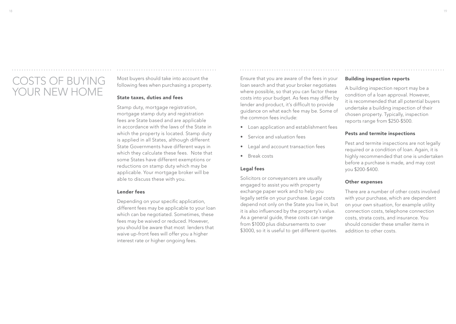# COSTS OF BUYING your new home

Most buyers should take into account the following fees when purchasing a property.

### State taxes, duties and fees

Stamp duty, mortgage registration, mortgage stamp duty and registration fees are State based and are applicable in accordance with the laws of the State in which the property is located. Stamp duty is applied in all States, although different State Governments have different ways in which they calculate these fees. Note that some States have different exemptions or reductions on stamp duty which may be applicable. Your mortgage broker will be able to discuss these with you.

### Lender fees

Depending on your specific application, different fees may be applicable to your loan which can be negotiated. Sometimes, these fees may be waived or reduced. However, you should be aware that most lenders that waive up-front fees will offer you a higher interest rate or higher ongoing fees.

Ensure that you are aware of the fees in your loan search and that your broker negotiates where possible, so that you can factor these costs into your budget. As fees may differ by lender and product, it's difficult to provide guidance on what each fee may be. Some of the common fees include:

- Loan application and establishment fees
- Service and valuation fees
- Legal and account transaction fees
- Break costs

### Legal fees

Solicitors or conveyancers are usually engaged to assist you with property exchange paper work and to help you legally settle on your purchase. Legal costs depend not only on the State you live in, but it is also influenced by the property's value. As a general guide, these costs can range from \$1000 plus disbursements to over \$3000, so it is useful to get different quotes.

### Building inspection reports

A building inspection report may be a condition of a loan approval. However, it is recommended that all potential buyers undertake a building inspection of their chosen property. Typically, inspection reports range from \$250-\$500.

### Pests and termite inspections

Pest and termite inspections are not legally required or a condition of loan. Again, it is highly recommended that one is undertaken before a purchase is made, and may cost you \$200-\$400.

#### Other expenses

There are a number of other costs involved with your purchase, which are dependent on your own situation, for example utility connection costs, telephone connection costs, strata costs, and insurance. You should consider these smaller items in addition to other costs.